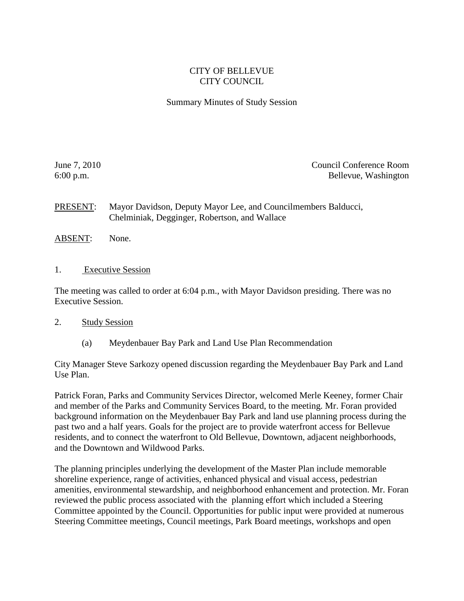## CITY OF BELLEVUE CITY COUNCIL

## Summary Minutes of Study Session

June 7, 2010 Council Conference Room 6:00 p.m. Bellevue, Washington

PRESENT: Mayor Davidson, Deputy Mayor Lee, and Councilmembers Balducci, Chelminiak, Degginger, Robertson, and Wallace

- ABSENT: None.
- 1. Executive Session

The meeting was called to order at 6:04 p.m., with Mayor Davidson presiding. There was no Executive Session.

## 2. Study Session

(a) Meydenbauer Bay Park and Land Use Plan Recommendation

City Manager Steve Sarkozy opened discussion regarding the Meydenbauer Bay Park and Land Use Plan.

Patrick Foran, Parks and Community Services Director, welcomed Merle Keeney, former Chair and member of the Parks and Community Services Board, to the meeting. Mr. Foran provided background information on the Meydenbauer Bay Park and land use planning process during the past two and a half years. Goals for the project are to provide waterfront access for Bellevue residents, and to connect the waterfront to Old Bellevue, Downtown, adjacent neighborhoods, and the Downtown and Wildwood Parks.

The planning principles underlying the development of the Master Plan include memorable shoreline experience, range of activities, enhanced physical and visual access, pedestrian amenities, environmental stewardship, and neighborhood enhancement and protection. Mr. Foran reviewed the public process associated with the planning effort which included a Steering Committee appointed by the Council. Opportunities for public input were provided at numerous Steering Committee meetings, Council meetings, Park Board meetings, workshops and open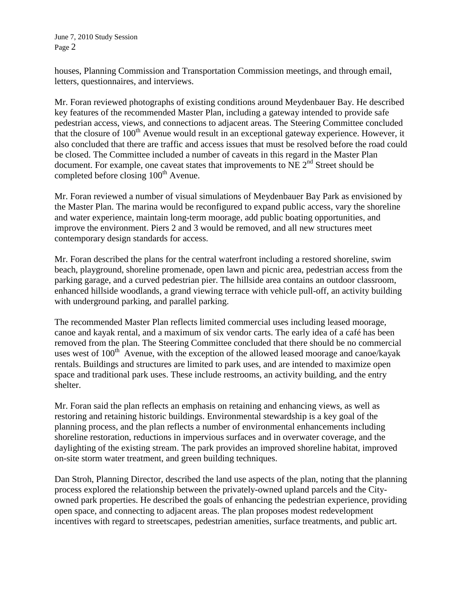houses, Planning Commission and Transportation Commission meetings, and through email, letters, questionnaires, and interviews.

Mr. Foran reviewed photographs of existing conditions around Meydenbauer Bay. He described key features of the recommended Master Plan, including a gateway intended to provide safe pedestrian access, views, and connections to adjacent areas. The Steering Committee concluded that the closure of  $100<sup>th</sup>$  Avenue would result in an exceptional gateway experience. However, it also concluded that there are traffic and access issues that must be resolved before the road could be closed. The Committee included a number of caveats in this regard in the Master Plan document. For example, one caveat states that improvements to NE 2<sup>nd</sup> Street should be completed before closing 100<sup>th</sup> Avenue.

Mr. Foran reviewed a number of visual simulations of Meydenbauer Bay Park as envisioned by the Master Plan. The marina would be reconfigured to expand public access, vary the shoreline and water experience, maintain long-term moorage, add public boating opportunities, and improve the environment. Piers 2 and 3 would be removed, and all new structures meet contemporary design standards for access.

Mr. Foran described the plans for the central waterfront including a restored shoreline, swim beach, playground, shoreline promenade, open lawn and picnic area, pedestrian access from the parking garage, and a curved pedestrian pier. The hillside area contains an outdoor classroom, enhanced hillside woodlands, a grand viewing terrace with vehicle pull-off, an activity building with underground parking, and parallel parking.

The recommended Master Plan reflects limited commercial uses including leased moorage, canoe and kayak rental, and a maximum of six vendor carts. The early idea of a café has been removed from the plan. The Steering Committee concluded that there should be no commercial uses west of  $100<sup>th</sup>$  Avenue, with the exception of the allowed leased moorage and canoe/kayak rentals. Buildings and structures are limited to park uses, and are intended to maximize open space and traditional park uses. These include restrooms, an activity building, and the entry shelter.

Mr. Foran said the plan reflects an emphasis on retaining and enhancing views, as well as restoring and retaining historic buildings. Environmental stewardship is a key goal of the planning process, and the plan reflects a number of environmental enhancements including shoreline restoration, reductions in impervious surfaces and in overwater coverage, and the daylighting of the existing stream. The park provides an improved shoreline habitat, improved on-site storm water treatment, and green building techniques.

Dan Stroh, Planning Director, described the land use aspects of the plan, noting that the planning process explored the relationship between the privately-owned upland parcels and the Cityowned park properties. He described the goals of enhancing the pedestrian experience, providing open space, and connecting to adjacent areas. The plan proposes modest redevelopment incentives with regard to streetscapes, pedestrian amenities, surface treatments, and public art.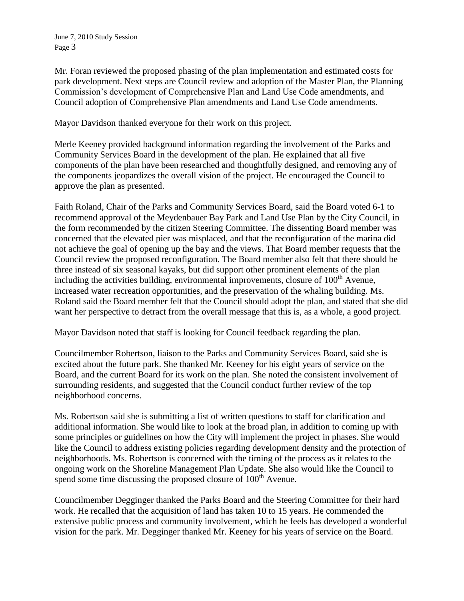Mr. Foran reviewed the proposed phasing of the plan implementation and estimated costs for park development. Next steps are Council review and adoption of the Master Plan, the Planning Commission's development of Comprehensive Plan and Land Use Code amendments, and Council adoption of Comprehensive Plan amendments and Land Use Code amendments.

Mayor Davidson thanked everyone for their work on this project.

Merle Keeney provided background information regarding the involvement of the Parks and Community Services Board in the development of the plan. He explained that all five components of the plan have been researched and thoughtfully designed, and removing any of the components jeopardizes the overall vision of the project. He encouraged the Council to approve the plan as presented.

Faith Roland, Chair of the Parks and Community Services Board, said the Board voted 6-1 to recommend approval of the Meydenbauer Bay Park and Land Use Plan by the City Council, in the form recommended by the citizen Steering Committee. The dissenting Board member was concerned that the elevated pier was misplaced, and that the reconfiguration of the marina did not achieve the goal of opening up the bay and the views. That Board member requests that the Council review the proposed reconfiguration. The Board member also felt that there should be three instead of six seasonal kayaks, but did support other prominent elements of the plan including the activities building, environmental improvements, closure of  $100<sup>th</sup>$  Avenue, increased water recreation opportunities, and the preservation of the whaling building. Ms. Roland said the Board member felt that the Council should adopt the plan, and stated that she did want her perspective to detract from the overall message that this is, as a whole, a good project.

Mayor Davidson noted that staff is looking for Council feedback regarding the plan.

Councilmember Robertson, liaison to the Parks and Community Services Board, said she is excited about the future park. She thanked Mr. Keeney for his eight years of service on the Board, and the current Board for its work on the plan. She noted the consistent involvement of surrounding residents, and suggested that the Council conduct further review of the top neighborhood concerns.

Ms. Robertson said she is submitting a list of written questions to staff for clarification and additional information. She would like to look at the broad plan, in addition to coming up with some principles or guidelines on how the City will implement the project in phases. She would like the Council to address existing policies regarding development density and the protection of neighborhoods. Ms. Robertson is concerned with the timing of the process as it relates to the ongoing work on the Shoreline Management Plan Update. She also would like the Council to spend some time discussing the proposed closure of  $100<sup>th</sup>$  Avenue.

Councilmember Degginger thanked the Parks Board and the Steering Committee for their hard work. He recalled that the acquisition of land has taken 10 to 15 years. He commended the extensive public process and community involvement, which he feels has developed a wonderful vision for the park. Mr. Degginger thanked Mr. Keeney for his years of service on the Board.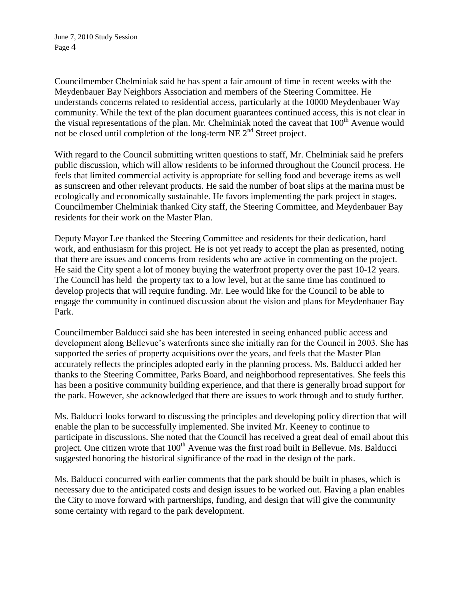Councilmember Chelminiak said he has spent a fair amount of time in recent weeks with the Meydenbauer Bay Neighbors Association and members of the Steering Committee. He understands concerns related to residential access, particularly at the 10000 Meydenbauer Way community. While the text of the plan document guarantees continued access, this is not clear in the visual representations of the plan. Mr. Chelminiak noted the caveat that 100<sup>th</sup> Avenue would not be closed until completion of the long-term NE  $2<sup>nd</sup>$  Street project.

With regard to the Council submitting written questions to staff, Mr. Chelminiak said he prefers public discussion, which will allow residents to be informed throughout the Council process. He feels that limited commercial activity is appropriate for selling food and beverage items as well as sunscreen and other relevant products. He said the number of boat slips at the marina must be ecologically and economically sustainable. He favors implementing the park project in stages. Councilmember Chelminiak thanked City staff, the Steering Committee, and Meydenbauer Bay residents for their work on the Master Plan.

Deputy Mayor Lee thanked the Steering Committee and residents for their dedication, hard work, and enthusiasm for this project. He is not yet ready to accept the plan as presented, noting that there are issues and concerns from residents who are active in commenting on the project. He said the City spent a lot of money buying the waterfront property over the past 10-12 years. The Council has held the property tax to a low level, but at the same time has continued to develop projects that will require funding. Mr. Lee would like for the Council to be able to engage the community in continued discussion about the vision and plans for Meydenbauer Bay Park.

Councilmember Balducci said she has been interested in seeing enhanced public access and development along Bellevue's waterfronts since she initially ran for the Council in 2003. She has supported the series of property acquisitions over the years, and feels that the Master Plan accurately reflects the principles adopted early in the planning process. Ms. Balducci added her thanks to the Steering Committee, Parks Board, and neighborhood representatives. She feels this has been a positive community building experience, and that there is generally broad support for the park. However, she acknowledged that there are issues to work through and to study further.

Ms. Balducci looks forward to discussing the principles and developing policy direction that will enable the plan to be successfully implemented. She invited Mr. Keeney to continue to participate in discussions. She noted that the Council has received a great deal of email about this project. One citizen wrote that 100<sup>th</sup> Avenue was the first road built in Bellevue. Ms. Balducci suggested honoring the historical significance of the road in the design of the park.

Ms. Balducci concurred with earlier comments that the park should be built in phases, which is necessary due to the anticipated costs and design issues to be worked out. Having a plan enables the City to move forward with partnerships, funding, and design that will give the community some certainty with regard to the park development.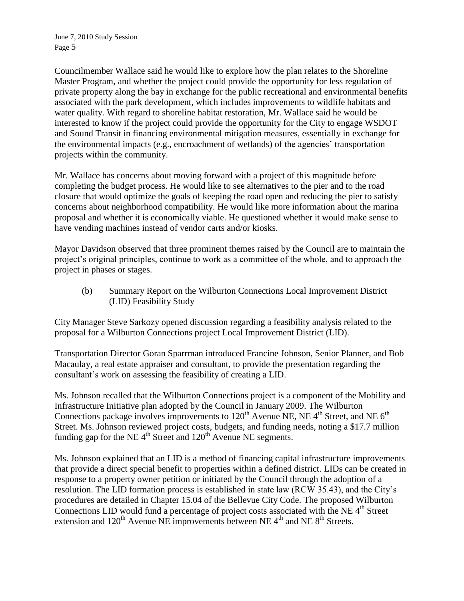Councilmember Wallace said he would like to explore how the plan relates to the Shoreline Master Program, and whether the project could provide the opportunity for less regulation of private property along the bay in exchange for the public recreational and environmental benefits associated with the park development, which includes improvements to wildlife habitats and water quality. With regard to shoreline habitat restoration, Mr. Wallace said he would be interested to know if the project could provide the opportunity for the City to engage WSDOT and Sound Transit in financing environmental mitigation measures, essentially in exchange for the environmental impacts (e.g., encroachment of wetlands) of the agencies' transportation projects within the community.

Mr. Wallace has concerns about moving forward with a project of this magnitude before completing the budget process. He would like to see alternatives to the pier and to the road closure that would optimize the goals of keeping the road open and reducing the pier to satisfy concerns about neighborhood compatibility. He would like more information about the marina proposal and whether it is economically viable. He questioned whether it would make sense to have vending machines instead of vendor carts and/or kiosks.

Mayor Davidson observed that three prominent themes raised by the Council are to maintain the project's original principles, continue to work as a committee of the whole, and to approach the project in phases or stages.

(b) Summary Report on the Wilburton Connections Local Improvement District (LID) Feasibility Study

City Manager Steve Sarkozy opened discussion regarding a feasibility analysis related to the proposal for a Wilburton Connections project Local Improvement District (LID).

Transportation Director Goran Sparrman introduced Francine Johnson, Senior Planner, and Bob Macaulay, a real estate appraiser and consultant, to provide the presentation regarding the consultant's work on assessing the feasibility of creating a LID.

Ms. Johnson recalled that the Wilburton Connections project is a component of the Mobility and Infrastructure Initiative plan adopted by the Council in January 2009. The Wilburton Connections package involves improvements to  $120^{th}$  Avenue NE, NE 4<sup>th</sup> Street, and NE 6<sup>th</sup> Street. Ms. Johnson reviewed project costs, budgets, and funding needs, noting a \$17.7 million funding gap for the NE  $4<sup>th</sup>$  Street and  $120<sup>th</sup>$  Avenue NE segments.

Ms. Johnson explained that an LID is a method of financing capital infrastructure improvements that provide a direct special benefit to properties within a defined district. LIDs can be created in response to a property owner petition or initiated by the Council through the adoption of a resolution. The LID formation process is established in state law (RCW 35.43), and the City's procedures are detailed in Chapter 15.04 of the Bellevue City Code. The proposed Wilburton Connections LID would fund a percentage of project costs associated with the NE 4<sup>th</sup> Street extension and  $120^{th}$  Avenue NE improvements between NE  $4^{th}$  and NE  $8^{th}$  Streets.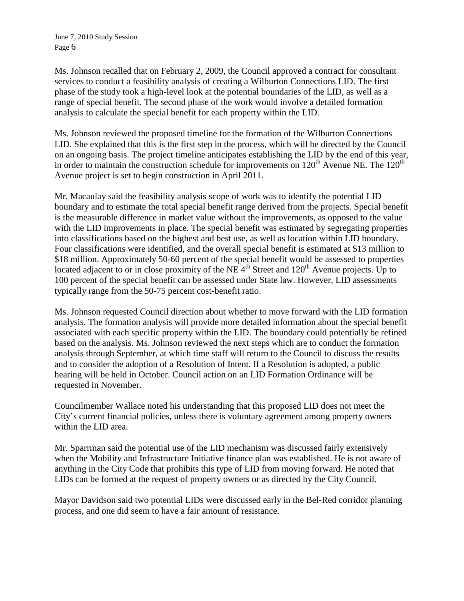Ms. Johnson recalled that on February 2, 2009, the Council approved a contract for consultant services to conduct a feasibility analysis of creating a Wilburton Connections LID. The first phase of the study took a high-level look at the potential boundaries of the LID, as well as a range of special benefit. The second phase of the work would involve a detailed formation analysis to calculate the special benefit for each property within the LID.

Ms. Johnson reviewed the proposed timeline for the formation of the Wilburton Connections LID. She explained that this is the first step in the process, which will be directed by the Council on an ongoing basis. The project timeline anticipates establishing the LID by the end of this year, in order to maintain the construction schedule for improvements on  $120^{th}$  Avenue NE. The  $120^{th}$ Avenue project is set to begin construction in April 2011.

Mr. Macaulay said the feasibility analysis scope of work was to identify the potential LID boundary and to estimate the total special benefit range derived from the projects. Special benefit is the measurable difference in market value without the improvements, as opposed to the value with the LID improvements in place. The special benefit was estimated by segregating properties into classifications based on the highest and best use, as well as location within LID boundary. Four classifications were identified, and the overall special benefit is estimated at \$13 million to \$18 million. Approximately 50-60 percent of the special benefit would be assessed to properties located adjacent to or in close proximity of the NE  $4<sup>th</sup>$  Street and 120<sup>th</sup> Avenue projects. Up to 100 percent of the special benefit can be assessed under State law. However, LID assessments typically range from the 50-75 percent cost-benefit ratio.

Ms. Johnson requested Council direction about whether to move forward with the LID formation analysis. The formation analysis will provide more detailed information about the special benefit associated with each specific property within the LID. The boundary could potentially be refined based on the analysis. Ms. Johnson reviewed the next steps which are to conduct the formation analysis through September, at which time staff will return to the Council to discuss the results and to consider the adoption of a Resolution of Intent. If a Resolution is adopted, a public hearing will be held in October. Council action on an LID Formation Ordinance will be requested in November.

Councilmember Wallace noted his understanding that this proposed LID does not meet the City's current financial policies, unless there is voluntary agreement among property owners within the LID area.

Mr. Sparrman said the potential use of the LID mechanism was discussed fairly extensively when the Mobility and Infrastructure Initiative finance plan was established. He is not aware of anything in the City Code that prohibits this type of LID from moving forward. He noted that LIDs can be formed at the request of property owners or as directed by the City Council.

Mayor Davidson said two potential LIDs were discussed early in the Bel-Red corridor planning process, and one did seem to have a fair amount of resistance.